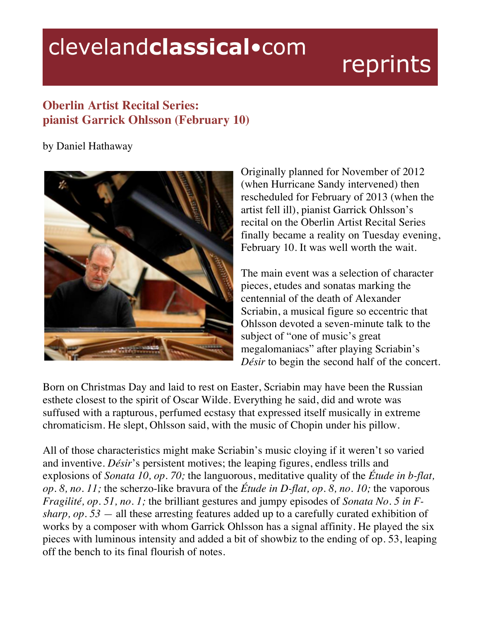## clevelandclassical.com

## reprints

## **Oberlin Artist Recital Series: pianist Garrick Ohlsson (February 10)**

by Daniel Hathaway



Originally planned for November of 2012 (when Hurricane Sandy intervened) then rescheduled for February of 2013 (when the artist fell ill), pianist Garrick Ohlsson's recital on the Oberlin Artist Recital Series finally became a reality on Tuesday evening, February 10. It was well worth the wait.

The main event was a selection of character pieces, etudes and sonatas marking the centennial of the death of Alexander Scriabin, a musical figure so eccentric that Ohlsson devoted a seven-minute talk to the subject of "one of music's great megalomaniacs" after playing Scriabin's *Désir* to begin the second half of the concert.

Born on Christmas Day and laid to rest on Easter, Scriabin may have been the Russian esthete closest to the spirit of Oscar Wilde. Everything he said, did and wrote was suffused with a rapturous, perfumed ecstasy that expressed itself musically in extreme chromaticism. He slept, Ohlsson said, with the music of Chopin under his pillow.

All of those characteristics might make Scriabin's music cloying if it weren't so varied and inventive. *Désir*'s persistent motives; the leaping figures, endless trills and explosions of *Sonata 10, op. 70;* the languorous, meditative quality of the *Étude in b-flat, op. 8, no. 11;* the scherzo-like bravura of the *Étude in D-flat, op. 8, no. 10;* the vaporous *Fragilité, op. 51, no. 1;* the brilliant gestures and jumpy episodes of *Sonata No. 5 in Fsharp, op. 53 —* all these arresting features added up to a carefully curated exhibition of works by a composer with whom Garrick Ohlsson has a signal affinity. He played the six pieces with luminous intensity and added a bit of showbiz to the ending of op. 53, leaping off the bench to its final flourish of notes.